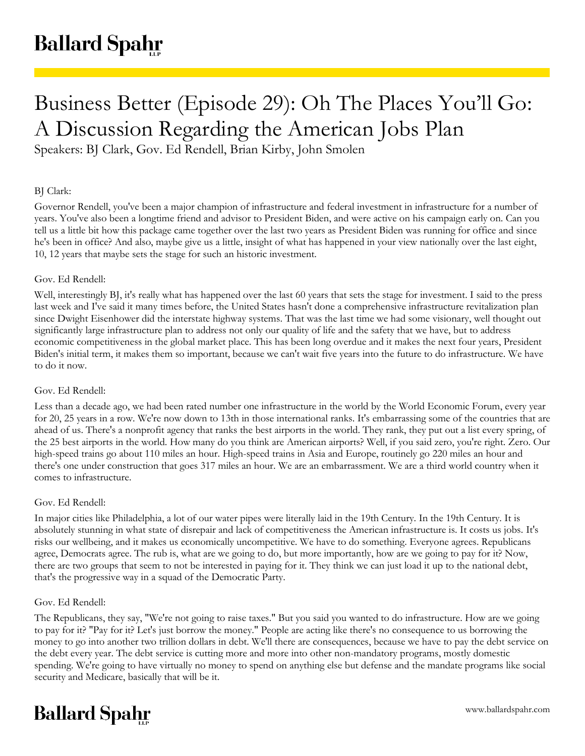# Business Better (Episode 29): Oh The Places You'll Go: A Discussion Regarding the American Jobs Plan

Speakers: BJ Clark, Gov. Ed Rendell, Brian Kirby, John Smolen

## BJ Clark:

Governor Rendell, you've been a major champion of infrastructure and federal investment in infrastructure for a number of years. You've also been a longtime friend and advisor to President Biden, and were active on his campaign early on. Can you tell us a little bit how this package came together over the last two years as President Biden was running for office and since he's been in office? And also, maybe give us a little, insight of what has happened in your view nationally over the last eight, 10, 12 years that maybe sets the stage for such an historic investment.

# Gov. Ed Rendell:

Well, interestingly BJ, it's really what has happened over the last 60 years that sets the stage for investment. I said to the press last week and I've said it many times before, the United States hasn't done a comprehensive infrastructure revitalization plan since Dwight Eisenhower did the interstate highway systems. That was the last time we had some visionary, well thought out significantly large infrastructure plan to address not only our quality of life and the safety that we have, but to address economic competitiveness in the global market place. This has been long overdue and it makes the next four years, President Biden's initial term, it makes them so important, because we can't wait five years into the future to do infrastructure. We have to do it now.

## Gov. Ed Rendell:

Less than a decade ago, we had been rated number one infrastructure in the world by the World Economic Forum, every year for 20, 25 years in a row. We're now down to 13th in those international ranks. It's embarrassing some of the countries that are ahead of us. There's a nonprofit agency that ranks the best airports in the world. They rank, they put out a list every spring, of the 25 best airports in the world. How many do you think are American airports? Well, if you said zero, you're right. Zero. Our high-speed trains go about 110 miles an hour. High-speed trains in Asia and Europe, routinely go 220 miles an hour and there's one under construction that goes 317 miles an hour. We are an embarrassment. We are a third world country when it comes to infrastructure.

## Gov. Ed Rendell:

In major cities like Philadelphia, a lot of our water pipes were literally laid in the 19th Century. In the 19th Century. It is absolutely stunning in what state of disrepair and lack of competitiveness the American infrastructure is. It costs us jobs. It's risks our wellbeing, and it makes us economically uncompetitive. We have to do something. Everyone agrees. Republicans agree, Democrats agree. The rub is, what are we going to do, but more importantly, how are we going to pay for it? Now, there are two groups that seem to not be interested in paying for it. They think we can just load it up to the national debt, that's the progressive way in a squad of the Democratic Party.

## Gov. Ed Rendell:

The Republicans, they say, "We're not going to raise taxes." But you said you wanted to do infrastructure. How are we going to pay for it? "Pay for it? Let's just borrow the money." People are acting like there's no consequence to us borrowing the money to go into another two trillion dollars in debt. We'll there are consequences, because we have to pay the debt service on the debt every year. The debt service is cutting more and more into other non-mandatory programs, mostly domestic spending. We're going to have virtually no money to spend on anything else but defense and the mandate programs like social security and Medicare, basically that will be it.

# **Ballard Spahr**

www.ballardspahr.com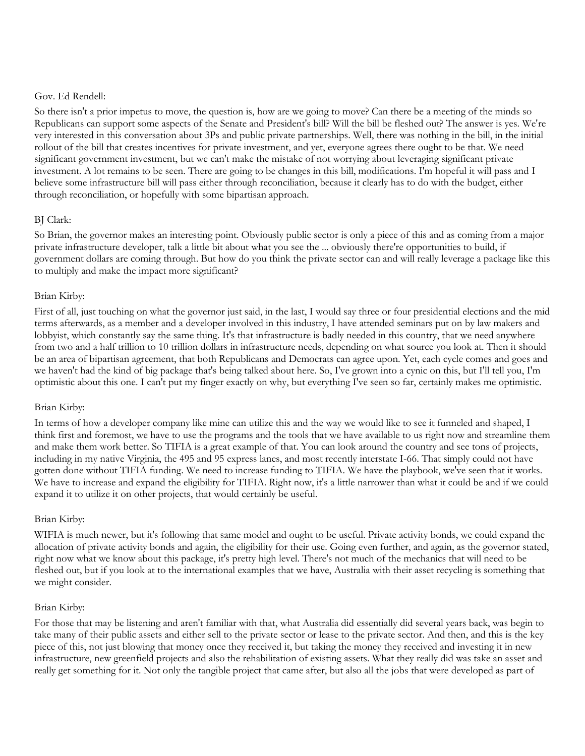#### Gov. Ed Rendell:

So there isn't a prior impetus to move, the question is, how are we going to move? Can there be a meeting of the minds so Republicans can support some aspects of the Senate and President's bill? Will the bill be fleshed out? The answer is yes. We're very interested in this conversation about 3Ps and public private partnerships. Well, there was nothing in the bill, in the initial rollout of the bill that creates incentives for private investment, and yet, everyone agrees there ought to be that. We need significant government investment, but we can't make the mistake of not worrying about leveraging significant private investment. A lot remains to be seen. There are going to be changes in this bill, modifications. I'm hopeful it will pass and I believe some infrastructure bill will pass either through reconciliation, because it clearly has to do with the budget, either through reconciliation, or hopefully with some bipartisan approach.

## BJ Clark:

So Brian, the governor makes an interesting point. Obviously public sector is only a piece of this and as coming from a major private infrastructure developer, talk a little bit about what you see the ... obviously there're opportunities to build, if government dollars are coming through. But how do you think the private sector can and will really leverage a package like this to multiply and make the impact more significant?

# Brian Kirby:

First of all, just touching on what the governor just said, in the last, I would say three or four presidential elections and the mid terms afterwards, as a member and a developer involved in this industry, I have attended seminars put on by law makers and lobbyist, which constantly say the same thing. It's that infrastructure is badly needed in this country, that we need anywhere from two and a half trillion to 10 trillion dollars in infrastructure needs, depending on what source you look at. Then it should be an area of bipartisan agreement, that both Republicans and Democrats can agree upon. Yet, each cycle comes and goes and we haven't had the kind of big package that's being talked about here. So, I've grown into a cynic on this, but I'll tell you, I'm optimistic about this one. I can't put my finger exactly on why, but everything I've seen so far, certainly makes me optimistic.

## Brian Kirby:

In terms of how a developer company like mine can utilize this and the way we would like to see it funneled and shaped, I think first and foremost, we have to use the programs and the tools that we have available to us right now and streamline them and make them work better. So TIFIA is a great example of that. You can look around the country and see tons of projects, including in my native Virginia, the 495 and 95 express lanes, and most recently interstate I-66. That simply could not have gotten done without TIFIA funding. We need to increase funding to TIFIA. We have the playbook, we've seen that it works. We have to increase and expand the eligibility for TIFIA. Right now, it's a little narrower than what it could be and if we could expand it to utilize it on other projects, that would certainly be useful.

## Brian Kirby:

WIFIA is much newer, but it's following that same model and ought to be useful. Private activity bonds, we could expand the allocation of private activity bonds and again, the eligibility for their use. Going even further, and again, as the governor stated, right now what we know about this package, it's pretty high level. There's not much of the mechanics that will need to be fleshed out, but if you look at to the international examples that we have, Australia with their asset recycling is something that we might consider.

## Brian Kirby:

For those that may be listening and aren't familiar with that, what Australia did essentially did several years back, was begin to take many of their public assets and either sell to the private sector or lease to the private sector. And then, and this is the key piece of this, not just blowing that money once they received it, but taking the money they received and investing it in new infrastructure, new greenfield projects and also the rehabilitation of existing assets. What they really did was take an asset and really get something for it. Not only the tangible project that came after, but also all the jobs that were developed as part of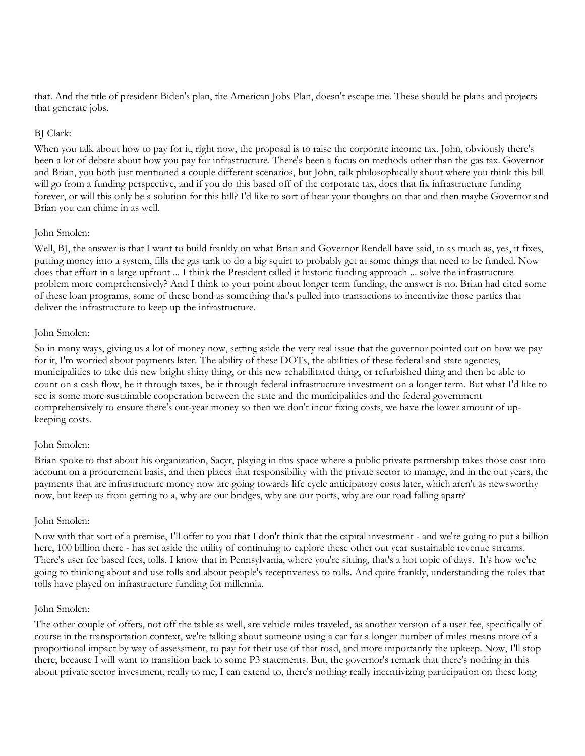that. And the title of president Biden's plan, the American Jobs Plan, doesn't escape me. These should be plans and projects that generate jobs.

## BJ Clark:

When you talk about how to pay for it, right now, the proposal is to raise the corporate income tax. John, obviously there's been a lot of debate about how you pay for infrastructure. There's been a focus on methods other than the gas tax. Governor and Brian, you both just mentioned a couple different scenarios, but John, talk philosophically about where you think this bill will go from a funding perspective, and if you do this based off of the corporate tax, does that fix infrastructure funding forever, or will this only be a solution for this bill? I'd like to sort of hear your thoughts on that and then maybe Governor and Brian you can chime in as well.

## John Smolen:

Well, BJ, the answer is that I want to build frankly on what Brian and Governor Rendell have said, in as much as, yes, it fixes, putting money into a system, fills the gas tank to do a big squirt to probably get at some things that need to be funded. Now does that effort in a large upfront ... I think the President called it historic funding approach ... solve the infrastructure problem more comprehensively? And I think to your point about longer term funding, the answer is no. Brian had cited some of these loan programs, some of these bond as something that's pulled into transactions to incentivize those parties that deliver the infrastructure to keep up the infrastructure.

# John Smolen:

So in many ways, giving us a lot of money now, setting aside the very real issue that the governor pointed out on how we pay for it, I'm worried about payments later. The ability of these DOTs, the abilities of these federal and state agencies, municipalities to take this new bright shiny thing, or this new rehabilitated thing, or refurbished thing and then be able to count on a cash flow, be it through taxes, be it through federal infrastructure investment on a longer term. But what I'd like to see is some more sustainable cooperation between the state and the municipalities and the federal government comprehensively to ensure there's out-year money so then we don't incur fixing costs, we have the lower amount of upkeeping costs.

# John Smolen:

Brian spoke to that about his organization, Sacyr, playing in this space where a public private partnership takes those cost into account on a procurement basis, and then places that responsibility with the private sector to manage, and in the out years, the payments that are infrastructure money now are going towards life cycle anticipatory costs later, which aren't as newsworthy now, but keep us from getting to a, why are our bridges, why are our ports, why are our road falling apart?

## John Smolen:

Now with that sort of a premise, I'll offer to you that I don't think that the capital investment - and we're going to put a billion here, 100 billion there - has set aside the utility of continuing to explore these other out year sustainable revenue streams. There's user fee based fees, tolls. I know that in Pennsylvania, where you're sitting, that's a hot topic of days. It's how we're going to thinking about and use tolls and about people's receptiveness to tolls. And quite frankly, understanding the roles that tolls have played on infrastructure funding for millennia.

## John Smolen:

The other couple of offers, not off the table as well, are vehicle miles traveled, as another version of a user fee, specifically of course in the transportation context, we're talking about someone using a car for a longer number of miles means more of a proportional impact by way of assessment, to pay for their use of that road, and more importantly the upkeep. Now, I'll stop there, because I will want to transition back to some P3 statements. But, the governor's remark that there's nothing in this about private sector investment, really to me, I can extend to, there's nothing really incentivizing participation on these long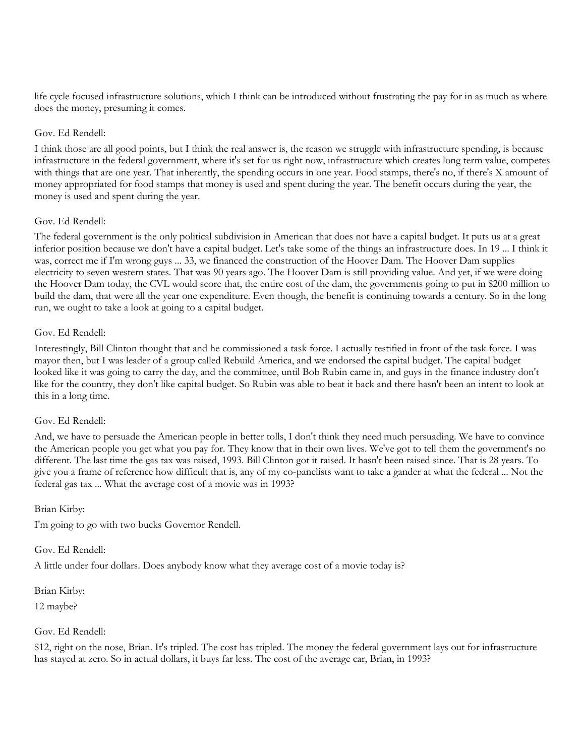life cycle focused infrastructure solutions, which I think can be introduced without frustrating the pay for in as much as where does the money, presuming it comes.

## Gov. Ed Rendell:

I think those are all good points, but I think the real answer is, the reason we struggle with infrastructure spending, is because infrastructure in the federal government, where it's set for us right now, infrastructure which creates long term value, competes with things that are one year. That inherently, the spending occurs in one year. Food stamps, there's no, if there's X amount of money appropriated for food stamps that money is used and spent during the year. The benefit occurs during the year, the money is used and spent during the year.

## Gov. Ed Rendell:

The federal government is the only political subdivision in American that does not have a capital budget. It puts us at a great inferior position because we don't have a capital budget. Let's take some of the things an infrastructure does. In 19 ... I think it was, correct me if I'm wrong guys ... 33, we financed the construction of the Hoover Dam. The Hoover Dam supplies electricity to seven western states. That was 90 years ago. The Hoover Dam is still providing value. And yet, if we were doing the Hoover Dam today, the CVL would score that, the entire cost of the dam, the governments going to put in \$200 million to build the dam, that were all the year one expenditure. Even though, the benefit is continuing towards a century. So in the long run, we ought to take a look at going to a capital budget.

## Gov. Ed Rendell:

Interestingly, Bill Clinton thought that and he commissioned a task force. I actually testified in front of the task force. I was mayor then, but I was leader of a group called Rebuild America, and we endorsed the capital budget. The capital budget looked like it was going to carry the day, and the committee, until Bob Rubin came in, and guys in the finance industry don't like for the country, they don't like capital budget. So Rubin was able to beat it back and there hasn't been an intent to look at this in a long time.

## Gov. Ed Rendell:

And, we have to persuade the American people in better tolls, I don't think they need much persuading. We have to convince the American people you get what you pay for. They know that in their own lives. We've got to tell them the government's no different. The last time the gas tax was raised, 1993. Bill Clinton got it raised. It hasn't been raised since. That is 28 years. To give you a frame of reference how difficult that is, any of my co-panelists want to take a gander at what the federal ... Not the federal gas tax ... What the average cost of a movie was in 1993?

## Brian Kirby:

I'm going to go with two bucks Governor Rendell.

#### Gov. Ed Rendell:

A little under four dollars. Does anybody know what they average cost of a movie today is?

#### Brian Kirby:

12 maybe?

#### Gov. Ed Rendell:

\$12, right on the nose, Brian. It's tripled. The cost has tripled. The money the federal government lays out for infrastructure has stayed at zero. So in actual dollars, it buys far less. The cost of the average car, Brian, in 1993?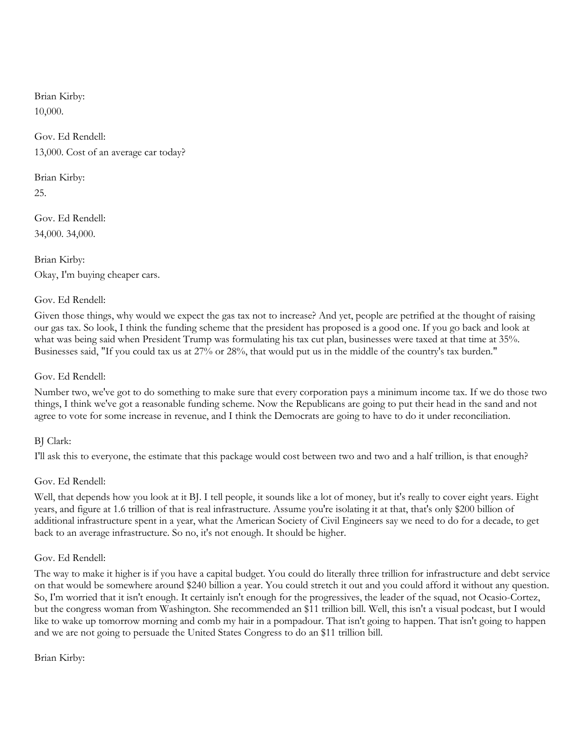Brian Kirby:

10,000.

Gov. Ed Rendell: 13,000. Cost of an average car today?

Brian Kirby: 25.

Gov. Ed Rendell: 34,000. 34,000.

Brian Kirby: Okay, I'm buying cheaper cars.

# Gov. Ed Rendell:

Given those things, why would we expect the gas tax not to increase? And yet, people are petrified at the thought of raising our gas tax. So look, I think the funding scheme that the president has proposed is a good one. If you go back and look at what was being said when President Trump was formulating his tax cut plan, businesses were taxed at that time at 35%. Businesses said, "If you could tax us at 27% or 28%, that would put us in the middle of the country's tax burden."

# Gov. Ed Rendell:

Number two, we've got to do something to make sure that every corporation pays a minimum income tax. If we do those two things, I think we've got a reasonable funding scheme. Now the Republicans are going to put their head in the sand and not agree to vote for some increase in revenue, and I think the Democrats are going to have to do it under reconciliation.

# BJ Clark:

I'll ask this to everyone, the estimate that this package would cost between two and two and a half trillion, is that enough?

# Gov. Ed Rendell:

Well, that depends how you look at it BJ. I tell people, it sounds like a lot of money, but it's really to cover eight years. Eight years, and figure at 1.6 trillion of that is real infrastructure. Assume you're isolating it at that, that's only \$200 billion of additional infrastructure spent in a year, what the American Society of Civil Engineers say we need to do for a decade, to get back to an average infrastructure. So no, it's not enough. It should be higher.

## Gov. Ed Rendell:

The way to make it higher is if you have a capital budget. You could do literally three trillion for infrastructure and debt service on that would be somewhere around \$240 billion a year. You could stretch it out and you could afford it without any question. So, I'm worried that it isn't enough. It certainly isn't enough for the progressives, the leader of the squad, not Ocasio-Cortez, but the congress woman from Washington. She recommended an \$11 trillion bill. Well, this isn't a visual podcast, but I would like to wake up tomorrow morning and comb my hair in a pompadour. That isn't going to happen. That isn't going to happen and we are not going to persuade the United States Congress to do an \$11 trillion bill.

## Brian Kirby: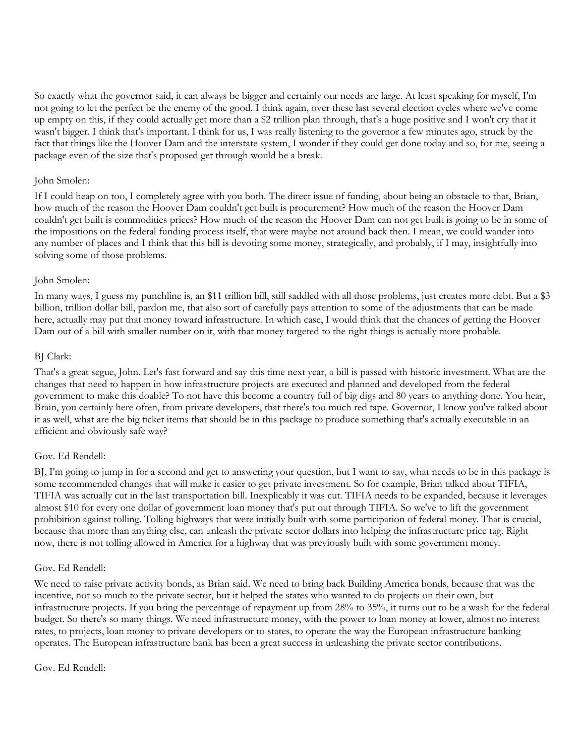So exactly what the governor said, it can always be bigger and certainly our needs are large. At least speaking for myself, I'm not going to let the perfect be the enemy of the good. I think again, over these last several election cycles where we've come up empty on this, if they could actually get more than a \$2 trillion plan through, that's a huge positive and I won't cry that it wasn't bigger. I think that's important. I think for us, I was really listening to the governor a few minutes ago, struck by the fact that things like the Hoover Dam and the interstate system, I wonder if they could get done today and so, for me, seeing a package even of the size that's proposed get through would be a break.

## John Smolen:

If I could heap on too, I completely agree with you both. The direct issue of funding, about being an obstacle to that, Brian, how much of the reason the Hoover Dam couldn't get built is procurement? How much of the reason the Hoover Dam couldn't get built is commodities prices? How much of the reason the Hoover Dam can not get built is going to be in some of the impositions on the federal funding process itself, that were maybe not around back then. I mean, we could wander into any number of places and I think that this bill is devoting some money, strategically, and probably, if I may, insightfully into solving some of those problems.

## John Smolen:

In many ways, I guess my punchline is, an \$11 trillion bill, still saddled with all those problems, just creates more debt. But a \$3 billion, trillion dollar bill, pardon me, that also sort of carefully pays attention to some of the adjustments that can be made here, actually may put that money toward infrastructure. In which case, I would think that the chances of getting the Hoover Dam out of a bill with smaller number on it, with that money targeted to the right things is actually more probable.

## BJ Clark:

That's a great segue, John. Let's fast forward and say this time next year, a bill is passed with historic investment. What are the changes that need to happen in how infrastructure projects are executed and planned and developed from the federal government to make this doable? To not have this become a country full of big digs and 80 years to anything done. You hear, Brain, you certainly here often, from private developers, that there's too much red tape. Governor, I know you've talked about it as well, what are the big ticket items that should be in this package to produce something that's actually executable in an efficient and obviously safe way?

## Gov. Ed Rendell:

BJ, I'm going to jump in for a second and get to answering your question, but I want to say, what needs to be in this package is some recommended changes that will make it easier to get private investment. So for example, Brian talked about TIFIA, TIFIA was actually cut in the last transportation bill. Inexplicably it was cut. TIFIA needs to be expanded, because it leverages almost \$10 for every one dollar of government loan money that's put out through TIFIA. So we've to lift the government prohibition against tolling. Tolling highways that were initially built with some participation of federal money. That is crucial, because that more than anything else, can unleash the private sector dollars into helping the infrastructure price tag. Right now, there is not tolling allowed in America for a highway that was previously built with some government money.

## Gov. Ed Rendell:

We need to raise private activity bonds, as Brian said. We need to bring back Building America bonds, because that was the incentive, not so much to the private sector, but it helped the states who wanted to do projects on their own, but infrastructure projects. If you bring the percentage of repayment up from 28% to 35%, it turns out to be a wash for the federal budget. So there's so many things. We need infrastructure money, with the power to loan money at lower, almost no interest rates, to projects, loan money to private developers or to states, to operate the way the European infrastructure banking operates. The European infrastructure bank has been a great success in unleashing the private sector contributions.

#### Gov. Ed Rendell: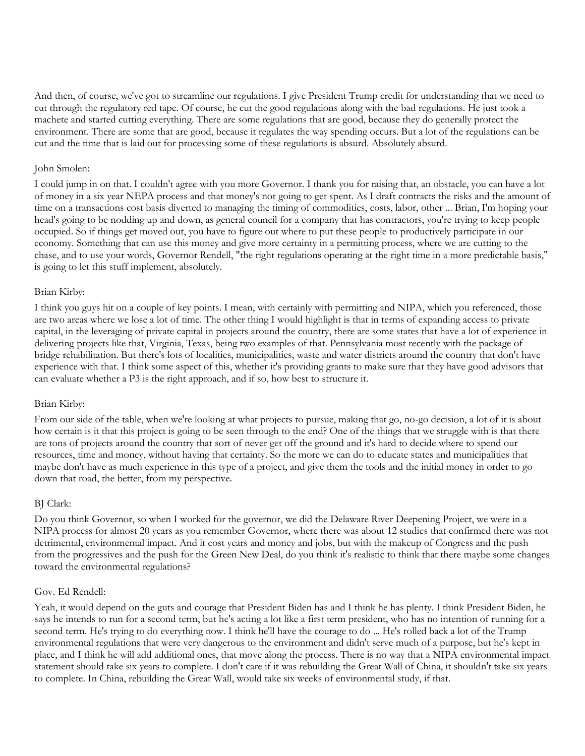And then, of course, we've got to streamline our regulations. I give President Trump credit for understanding that we need to cut through the regulatory red tape. Of course, he cut the good regulations along with the bad regulations. He just took a machete and started cutting everything. There are some regulations that are good, because they do generally protect the environment. There are some that are good, because it regulates the way spending occurs. But a lot of the regulations can be cut and the time that is laid out for processing some of these regulations is absurd. Absolutely absurd.

## John Smolen:

I could jump in on that. I couldn't agree with you more Governor. I thank you for raising that, an obstacle, you can have a lot of money in a six year NEPA process and that money's not going to get spent. As I draft contracts the risks and the amount of time on a transactions cost basis diverted to managing the timing of commodities, costs, labor, other ... Brian, I'm hoping your head's going to be nodding up and down, as general council for a company that has contractors, you're trying to keep people occupied. So if things get moved out, you have to figure out where to put these people to productively participate in our economy. Something that can use this money and give more certainty in a permitting process, where we are cutting to the chase, and to use your words, Governor Rendell, "the right regulations operating at the right time in a more predictable basis," is going to let this stuff implement, absolutely.

## Brian Kirby:

I think you guys hit on a couple of key points. I mean, with certainly with permitting and NIPA, which you referenced, those are two areas where we lose a lot of time. The other thing I would highlight is that in terms of expanding access to private capital, in the leveraging of private capital in projects around the country, there are some states that have a lot of experience in delivering projects like that, Virginia, Texas, being two examples of that. Pennsylvania most recently with the package of bridge rehabilitation. But there's lots of localities, municipalities, waste and water districts around the country that don't have experience with that. I think some aspect of this, whether it's providing grants to make sure that they have good advisors that can evaluate whether a P3 is the right approach, and if so, how best to structure it.

#### Brian Kirby:

From our side of the table, when we're looking at what projects to pursue, making that go, no-go decision, a lot of it is about how certain is it that this project is going to be seen through to the end? One of the things that we struggle with is that there are tons of projects around the country that sort of never get off the ground and it's hard to decide where to spend our resources, time and money, without having that certainty. So the more we can do to educate states and municipalities that maybe don't have as much experience in this type of a project, and give them the tools and the initial money in order to go down that road, the better, from my perspective.

#### BJ Clark:

Do you think Governor, so when I worked for the governor, we did the Delaware River Deepening Project, we were in a NIPA process for almost 20 years as you remember Governor, where there was about 12 studies that confirmed there was not detrimental, environmental impact. And it cost years and money and jobs, but with the makeup of Congress and the push from the progressives and the push for the Green New Deal, do you think it's realistic to think that there maybe some changes toward the environmental regulations?

#### Gov. Ed Rendell:

Yeah, it would depend on the guts and courage that President Biden has and I think he has plenty. I think President Biden, he says he intends to run for a second term, but he's acting a lot like a first term president, who has no intention of running for a second term. He's trying to do everything now. I think he'll have the courage to do ... He's rolled back a lot of the Trump environmental regulations that were very dangerous to the environment and didn't serve much of a purpose, but he's kept in place, and I think he will add additional ones, that move along the process. There is no way that a NIPA environmental impact statement should take six years to complete. I don't care if it was rebuilding the Great Wall of China, it shouldn't take six years to complete. In China, rebuilding the Great Wall, would take six weeks of environmental study, if that.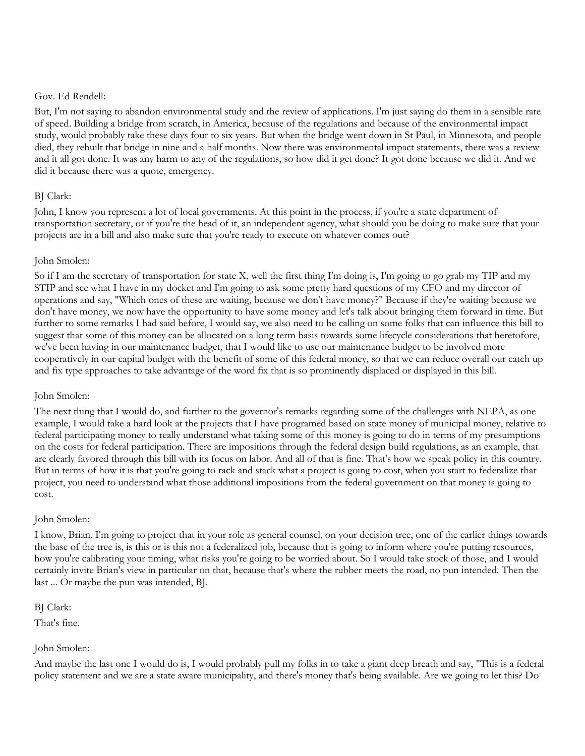#### Gov. Ed Rendell:

But, I'm not saying to abandon environmental study and the review of applications. I'm just saying do them in a sensible rate of speed. Building a bridge from scratch, in America, because of the regulations and because of the environmental impact study, would probably take these days four to six years. But when the bridge went down in St Paul, in Minnesota, and people died, they rebuilt that bridge in nine and a half months. Now there was environmental impact statements, there was a review and it all got done. It was any harm to any of the regulations, so how did it get done? It got done because we did it. And we did it because there was a quote, emergency.

# BJ Clark:

John, I know you represent a lot of local governments. At this point in the process, if you're a state department of transportation secretary, or if you're the head of it, an independent agency, what should you be doing to make sure that your projects are in a bill and also make sure that you're ready to execute on whatever comes out?

## John Smolen:

So if I am the secretary of transportation for state X, well the first thing I'm doing is, I'm going to go grab my TIP and my STIP and see what I have in my docket and I'm going to ask some pretty hard questions of my CFO and my director of operations and say, "Which ones of these are waiting, because we don't have money?" Because if they're waiting because we don't have money, we now have the opportunity to have some money and let's talk about bringing them forward in time. But further to some remarks I had said before, I would say, we also need to be calling on some folks that can influence this bill to suggest that some of this money can be allocated on a long term basis towards some lifecycle considerations that heretofore, we've been having in our maintenance budget, that I would like to use our maintenance budget to be involved more cooperatively in our capital budget with the benefit of some of this federal money, so that we can reduce overall our catch up and fix type approaches to take advantage of the word fix that is so prominently displaced or displayed in this bill.

## John Smolen:

The next thing that I would do, and further to the governor's remarks regarding some of the challenges with NEPA, as one example, I would take a hard look at the projects that I have programed based on state money of municipal money, relative to federal participating money to really understand what taking some of this money is going to do in terms of my presumptions on the costs for federal participation. There are impositions through the federal design build regulations, as an example, that are clearly favored through this bill with its focus on labor. And all of that is fine. That's how we speak policy in this country. But in terms of how it is that you're going to rack and stack what a project is going to cost, when you start to federalize that project, you need to understand what those additional impositions from the federal government on that money is going to cost.

## John Smolen:

I know, Brian, I'm going to project that in your role as general counsel, on your decision tree, one of the earlier things towards the base of the tree is, is this or is this not a federalized job, because that is going to inform where you're putting resources, how you're calibrating your timing, what risks you're going to be worried about. So I would take stock of those, and I would certainly invite Brian's view in particular on that, because that's where the rubber meets the road, no pun intended. Then the last ... Or maybe the pun was intended, BJ.

BJ Clark:

That's fine.

# John Smolen:

And maybe the last one I would do is, I would probably pull my folks in to take a giant deep breath and say, "This is a federal policy statement and we are a state aware municipality, and there's money that's being available. Are we going to let this? Do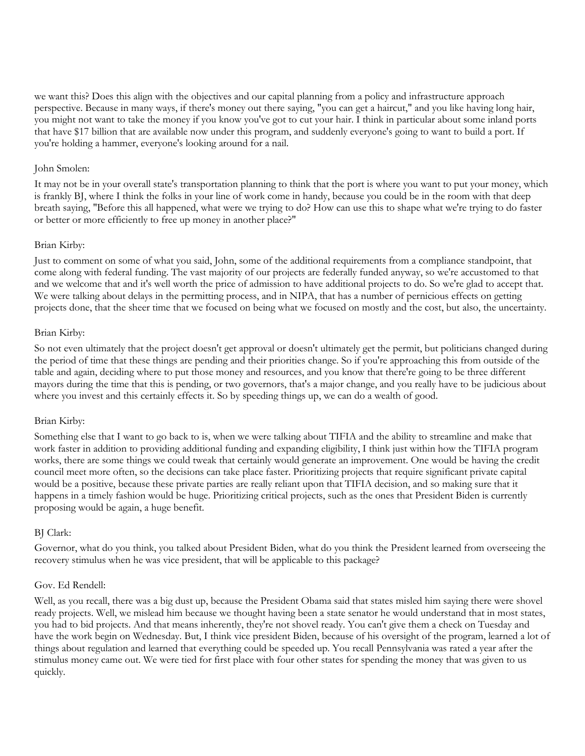we want this? Does this align with the objectives and our capital planning from a policy and infrastructure approach perspective. Because in many ways, if there's money out there saying, "you can get a haircut," and you like having long hair, you might not want to take the money if you know you've got to cut your hair. I think in particular about some inland ports that have \$17 billion that are available now under this program, and suddenly everyone's going to want to build a port. If you're holding a hammer, everyone's looking around for a nail.

## John Smolen:

It may not be in your overall state's transportation planning to think that the port is where you want to put your money, which is frankly BJ, where I think the folks in your line of work come in handy, because you could be in the room with that deep breath saying, "Before this all happened, what were we trying to do? How can use this to shape what we're trying to do faster or better or more efficiently to free up money in another place?"

## Brian Kirby:

Just to comment on some of what you said, John, some of the additional requirements from a compliance standpoint, that come along with federal funding. The vast majority of our projects are federally funded anyway, so we're accustomed to that and we welcome that and it's well worth the price of admission to have additional projects to do. So we're glad to accept that. We were talking about delays in the permitting process, and in NIPA, that has a number of pernicious effects on getting projects done, that the sheer time that we focused on being what we focused on mostly and the cost, but also, the uncertainty.

#### Brian Kirby:

So not even ultimately that the project doesn't get approval or doesn't ultimately get the permit, but politicians changed during the period of time that these things are pending and their priorities change. So if you're approaching this from outside of the table and again, deciding where to put those money and resources, and you know that there're going to be three different mayors during the time that this is pending, or two governors, that's a major change, and you really have to be judicious about where you invest and this certainly effects it. So by speeding things up, we can do a wealth of good.

#### Brian Kirby:

Something else that I want to go back to is, when we were talking about TIFIA and the ability to streamline and make that work faster in addition to providing additional funding and expanding eligibility, I think just within how the TIFIA program works, there are some things we could tweak that certainly would generate an improvement. One would be having the credit council meet more often, so the decisions can take place faster. Prioritizing projects that require significant private capital would be a positive, because these private parties are really reliant upon that TIFIA decision, and so making sure that it happens in a timely fashion would be huge. Prioritizing critical projects, such as the ones that President Biden is currently proposing would be again, a huge benefit.

## BJ Clark:

Governor, what do you think, you talked about President Biden, what do you think the President learned from overseeing the recovery stimulus when he was vice president, that will be applicable to this package?

#### Gov. Ed Rendell:

Well, as you recall, there was a big dust up, because the President Obama said that states misled him saying there were shovel ready projects. Well, we mislead him because we thought having been a state senator he would understand that in most states, you had to bid projects. And that means inherently, they're not shovel ready. You can't give them a check on Tuesday and have the work begin on Wednesday. But, I think vice president Biden, because of his oversight of the program, learned a lot of things about regulation and learned that everything could be speeded up. You recall Pennsylvania was rated a year after the stimulus money came out. We were tied for first place with four other states for spending the money that was given to us quickly.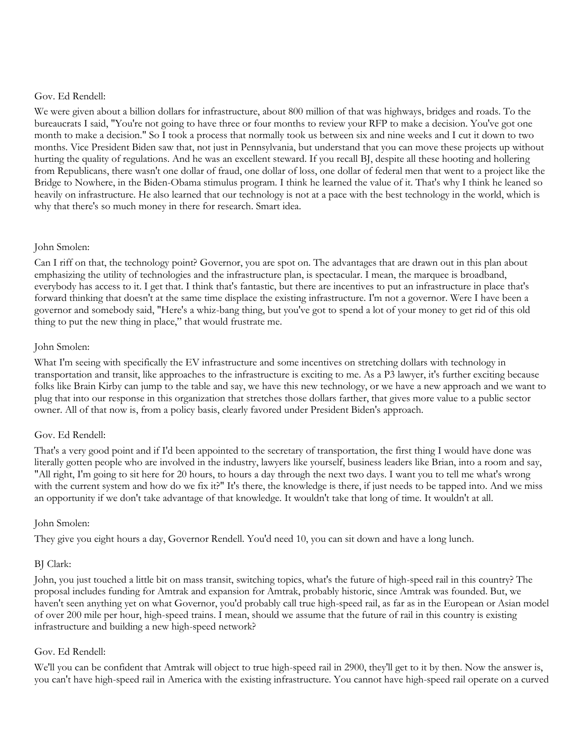#### Gov. Ed Rendell:

We were given about a billion dollars for infrastructure, about 800 million of that was highways, bridges and roads. To the bureaucrats I said, "You're not going to have three or four months to review your RFP to make a decision. You've got one month to make a decision." So I took a process that normally took us between six and nine weeks and I cut it down to two months. Vice President Biden saw that, not just in Pennsylvania, but understand that you can move these projects up without hurting the quality of regulations. And he was an excellent steward. If you recall BJ, despite all these hooting and hollering from Republicans, there wasn't one dollar of fraud, one dollar of loss, one dollar of federal men that went to a project like the Bridge to Nowhere, in the Biden-Obama stimulus program. I think he learned the value of it. That's why I think he leaned so heavily on infrastructure. He also learned that our technology is not at a pace with the best technology in the world, which is why that there's so much money in there for research. Smart idea.

## John Smolen:

Can I riff on that, the technology point? Governor, you are spot on. The advantages that are drawn out in this plan about emphasizing the utility of technologies and the infrastructure plan, is spectacular. I mean, the marquee is broadband, everybody has access to it. I get that. I think that's fantastic, but there are incentives to put an infrastructure in place that's forward thinking that doesn't at the same time displace the existing infrastructure. I'm not a governor. Were I have been a governor and somebody said, "Here's a whiz-bang thing, but you've got to spend a lot of your money to get rid of this old thing to put the new thing in place," that would frustrate me.

## John Smolen:

What I'm seeing with specifically the EV infrastructure and some incentives on stretching dollars with technology in transportation and transit, like approaches to the infrastructure is exciting to me. As a P3 lawyer, it's further exciting because folks like Brain Kirby can jump to the table and say, we have this new technology, or we have a new approach and we want to plug that into our response in this organization that stretches those dollars farther, that gives more value to a public sector owner. All of that now is, from a policy basis, clearly favored under President Biden's approach.

## Gov. Ed Rendell:

That's a very good point and if I'd been appointed to the secretary of transportation, the first thing I would have done was literally gotten people who are involved in the industry, lawyers like yourself, business leaders like Brian, into a room and say, "All right, I'm going to sit here for 20 hours, to hours a day through the next two days. I want you to tell me what's wrong with the current system and how do we fix it?" It's there, the knowledge is there, if just needs to be tapped into. And we miss an opportunity if we don't take advantage of that knowledge. It wouldn't take that long of time. It wouldn't at all.

## John Smolen:

They give you eight hours a day, Governor Rendell. You'd need 10, you can sit down and have a long lunch.

## BJ Clark:

John, you just touched a little bit on mass transit, switching topics, what's the future of high-speed rail in this country? The proposal includes funding for Amtrak and expansion for Amtrak, probably historic, since Amtrak was founded. But, we haven't seen anything yet on what Governor, you'd probably call true high-speed rail, as far as in the European or Asian model of over 200 mile per hour, high-speed trains. I mean, should we assume that the future of rail in this country is existing infrastructure and building a new high-speed network?

## Gov. Ed Rendell:

We'll you can be confident that Amtrak will object to true high-speed rail in 2900, they'll get to it by then. Now the answer is, you can't have high-speed rail in America with the existing infrastructure. You cannot have high-speed rail operate on a curved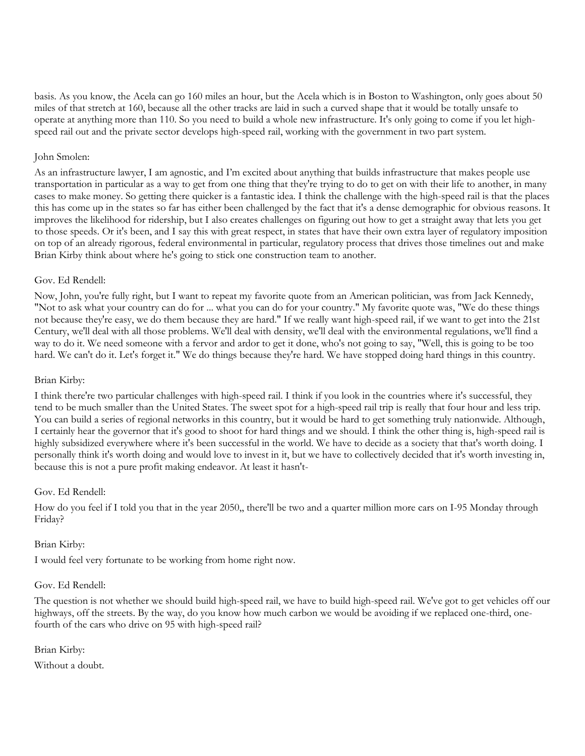basis. As you know, the Acela can go 160 miles an hour, but the Acela which is in Boston to Washington, only goes about 50 miles of that stretch at 160, because all the other tracks are laid in such a curved shape that it would be totally unsafe to operate at anything more than 110. So you need to build a whole new infrastructure. It's only going to come if you let highspeed rail out and the private sector develops high-speed rail, working with the government in two part system.

## John Smolen:

As an infrastructure lawyer, I am agnostic, and I'm excited about anything that builds infrastructure that makes people use transportation in particular as a way to get from one thing that they're trying to do to get on with their life to another, in many cases to make money. So getting there quicker is a fantastic idea. I think the challenge with the high-speed rail is that the places this has come up in the states so far has either been challenged by the fact that it's a dense demographic for obvious reasons. It improves the likelihood for ridership, but I also creates challenges on figuring out how to get a straight away that lets you get to those speeds. Or it's been, and I say this with great respect, in states that have their own extra layer of regulatory imposition on top of an already rigorous, federal environmental in particular, regulatory process that drives those timelines out and make Brian Kirby think about where he's going to stick one construction team to another.

## Gov. Ed Rendell:

Now, John, you're fully right, but I want to repeat my favorite quote from an American politician, was from Jack Kennedy, "Not to ask what your country can do for ... what you can do for your country." My favorite quote was, "We do these things not because they're easy, we do them because they are hard." If we really want high-speed rail, if we want to get into the 21st Century, we'll deal with all those problems. We'll deal with density, we'll deal with the environmental regulations, we'll find a way to do it. We need someone with a fervor and ardor to get it done, who's not going to say, "Well, this is going to be too hard. We can't do it. Let's forget it." We do things because they're hard. We have stopped doing hard things in this country.

#### Brian Kirby:

I think there're two particular challenges with high-speed rail. I think if you look in the countries where it's successful, they tend to be much smaller than the United States. The sweet spot for a high-speed rail trip is really that four hour and less trip. You can build a series of regional networks in this country, but it would be hard to get something truly nationwide. Although, I certainly hear the governor that it's good to shoot for hard things and we should. I think the other thing is, high-speed rail is highly subsidized everywhere where it's been successful in the world. We have to decide as a society that that's worth doing. I personally think it's worth doing and would love to invest in it, but we have to collectively decided that it's worth investing in, because this is not a pure profit making endeavor. At least it hasn't-

#### Gov. Ed Rendell:

How do you feel if I told you that in the year 2050,, there'll be two and a quarter million more cars on I-95 Monday through Friday?

#### Brian Kirby:

I would feel very fortunate to be working from home right now.

#### Gov. Ed Rendell:

The question is not whether we should build high-speed rail, we have to build high-speed rail. We've got to get vehicles off our highways, off the streets. By the way, do you know how much carbon we would be avoiding if we replaced one-third, onefourth of the cars who drive on 95 with high-speed rail?

## Brian Kirby:

Without a doubt.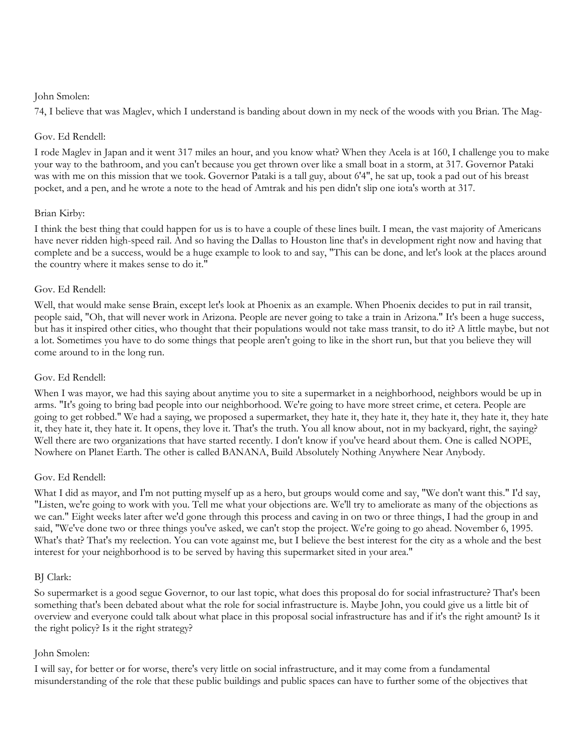#### John Smolen:

74, I believe that was Maglev, which I understand is banding about down in my neck of the woods with you Brian. The Mag-

## Gov. Ed Rendell:

I rode Maglev in Japan and it went 317 miles an hour, and you know what? When they Acela is at 160, I challenge you to make your way to the bathroom, and you can't because you get thrown over like a small boat in a storm, at 317. Governor Pataki was with me on this mission that we took. Governor Pataki is a tall guy, about 6'4", he sat up, took a pad out of his breast pocket, and a pen, and he wrote a note to the head of Amtrak and his pen didn't slip one iota's worth at 317.

## Brian Kirby:

I think the best thing that could happen for us is to have a couple of these lines built. I mean, the vast majority of Americans have never ridden high-speed rail. And so having the Dallas to Houston line that's in development right now and having that complete and be a success, would be a huge example to look to and say, "This can be done, and let's look at the places around the country where it makes sense to do it."

## Gov. Ed Rendell:

Well, that would make sense Brain, except let's look at Phoenix as an example. When Phoenix decides to put in rail transit, people said, "Oh, that will never work in Arizona. People are never going to take a train in Arizona." It's been a huge success, but has it inspired other cities, who thought that their populations would not take mass transit, to do it? A little maybe, but not a lot. Sometimes you have to do some things that people aren't going to like in the short run, but that you believe they will come around to in the long run.

#### Gov. Ed Rendell:

When I was mayor, we had this saying about anytime you to site a supermarket in a neighborhood, neighbors would be up in arms. "It's going to bring bad people into our neighborhood. We're going to have more street crime, et cetera. People are going to get robbed." We had a saying, we proposed a supermarket, they hate it, they hate it, they hate it, they hate it, they hate it, they hate it. It opens, they love it. That's the truth. You all know about, not in my backyard, right, the saying? Well there are two organizations that have started recently. I don't know if you've heard about them. One is called NOPE, Nowhere on Planet Earth. The other is called BANANA, Build Absolutely Nothing Anywhere Near Anybody.

#### Gov. Ed Rendell:

What I did as mayor, and I'm not putting myself up as a hero, but groups would come and say, "We don't want this." I'd say, "Listen, we're going to work with you. Tell me what your objections are. We'll try to ameliorate as many of the objections as we can." Eight weeks later after we'd gone through this process and caving in on two or three things, I had the group in and said, "We've done two or three things you've asked, we can't stop the project. We're going to go ahead. November 6, 1995. What's that? That's my reelection. You can vote against me, but I believe the best interest for the city as a whole and the best interest for your neighborhood is to be served by having this supermarket sited in your area."

#### BJ Clark:

So supermarket is a good segue Governor, to our last topic, what does this proposal do for social infrastructure? That's been something that's been debated about what the role for social infrastructure is. Maybe John, you could give us a little bit of overview and everyone could talk about what place in this proposal social infrastructure has and if it's the right amount? Is it the right policy? Is it the right strategy?

#### John Smolen:

I will say, for better or for worse, there's very little on social infrastructure, and it may come from a fundamental misunderstanding of the role that these public buildings and public spaces can have to further some of the objectives that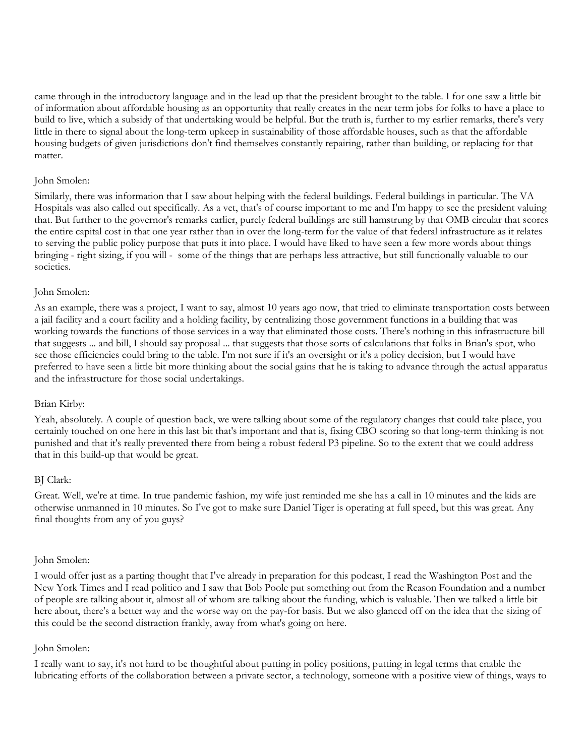came through in the introductory language and in the lead up that the president brought to the table. I for one saw a little bit of information about affordable housing as an opportunity that really creates in the near term jobs for folks to have a place to build to live, which a subsidy of that undertaking would be helpful. But the truth is, further to my earlier remarks, there's very little in there to signal about the long-term upkeep in sustainability of those affordable houses, such as that the affordable housing budgets of given jurisdictions don't find themselves constantly repairing, rather than building, or replacing for that matter.

#### John Smolen:

Similarly, there was information that I saw about helping with the federal buildings. Federal buildings in particular. The VA Hospitals was also called out specifically. As a vet, that's of course important to me and I'm happy to see the president valuing that. But further to the governor's remarks earlier, purely federal buildings are still hamstrung by that OMB circular that scores the entire capital cost in that one year rather than in over the long-term for the value of that federal infrastructure as it relates to serving the public policy purpose that puts it into place. I would have liked to have seen a few more words about things bringing - right sizing, if you will - some of the things that are perhaps less attractive, but still functionally valuable to our societies.

## John Smolen:

As an example, there was a project, I want to say, almost 10 years ago now, that tried to eliminate transportation costs between a jail facility and a court facility and a holding facility, by centralizing those government functions in a building that was working towards the functions of those services in a way that eliminated those costs. There's nothing in this infrastructure bill that suggests ... and bill, I should say proposal ... that suggests that those sorts of calculations that folks in Brian's spot, who see those efficiencies could bring to the table. I'm not sure if it's an oversight or it's a policy decision, but I would have preferred to have seen a little bit more thinking about the social gains that he is taking to advance through the actual apparatus and the infrastructure for those social undertakings.

#### Brian Kirby:

Yeah, absolutely. A couple of question back, we were talking about some of the regulatory changes that could take place, you certainly touched on one here in this last bit that's important and that is, fixing CBO scoring so that long-term thinking is not punished and that it's really prevented there from being a robust federal P3 pipeline. So to the extent that we could address that in this build-up that would be great.

## BJ Clark:

Great. Well, we're at time. In true pandemic fashion, my wife just reminded me she has a call in 10 minutes and the kids are otherwise unmanned in 10 minutes. So I've got to make sure Daniel Tiger is operating at full speed, but this was great. Any final thoughts from any of you guys?

#### John Smolen:

I would offer just as a parting thought that I've already in preparation for this podcast, I read the Washington Post and the New York Times and I read politico and I saw that Bob Poole put something out from the Reason Foundation and a number of people are talking about it, almost all of whom are talking about the funding, which is valuable. Then we talked a little bit here about, there's a better way and the worse way on the pay-for basis. But we also glanced off on the idea that the sizing of this could be the second distraction frankly, away from what's going on here.

#### John Smolen:

I really want to say, it's not hard to be thoughtful about putting in policy positions, putting in legal terms that enable the lubricating efforts of the collaboration between a private sector, a technology, someone with a positive view of things, ways to